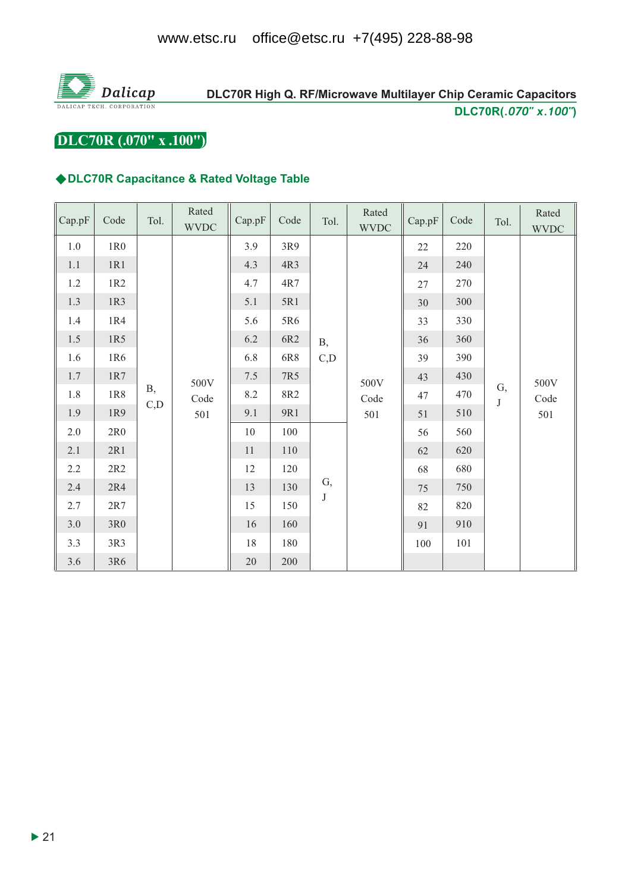

# DLC70R High Q. RF/Microwave Multilayer Chip Ceramic Capacitors DLC70R(.070" x.100")

DLC70R (.070" x .100")

## ◆DLC70R Capacitance & Rated Voltage Table

| Cap.pF  | Code            | Tol.       | Rated<br><b>WVDC</b> | Cap.pF  | Code | Tol.       | Rated<br><b>WVDC</b> | Cap.pF | Code | Tol.          | Rated<br><b>WVDC</b> |
|---------|-----------------|------------|----------------------|---------|------|------------|----------------------|--------|------|---------------|----------------------|
| 1.0     | 1R0             |            |                      | 3.9     | 3R9  |            | 500V<br>Code<br>501  | 22     | 220  | G,<br>$\bf J$ | 500V<br>Code<br>501  |
| $1.1\,$ | 1R1             |            |                      | 4.3     | 4R3  |            |                      | 24     | 240  |               |                      |
| $1.2\,$ | 1R2             |            |                      | 4.7     | 4R7  |            |                      | 27     | 270  |               |                      |
| $1.3\,$ | 1R3             |            |                      | 5.1     | 5R1  |            |                      | 30     | 300  |               |                      |
| 1.4     | 1R4             |            |                      | 5.6     | 5R6  |            |                      | 33     | 330  |               |                      |
| $1.5\,$ | 1R5             |            |                      | 6.2     | 6R2  | <b>B</b> , |                      | 36     | 360  |               |                      |
| 1.6     | 1R6             |            | 500V<br>Code<br>501  | 6.8     | 6R8  | C,D        |                      | 39     | 390  |               |                      |
| $1.7\,$ | $1{\rm R}7$     |            |                      | 7.5     | 7R5  |            |                      | 43     | 430  |               |                      |
| $1.8\,$ | 1R8             | <b>B</b> , |                      | $8.2\,$ | 8R2  |            |                      | 47     | 470  |               |                      |
| 1.9     | 1R9             | C, D       |                      | 9.1     | 9R1  |            |                      | $51\,$ | 510  |               |                      |
| 2.0     | 2R <sub>0</sub> |            |                      | 10      | 100  |            |                      | 56     | 560  |               |                      |
| 2.1     | 2R1             |            |                      | $11\,$  | 110  |            |                      | 62     | 620  |               |                      |
| 2.2     | 2R2             |            |                      | 12      | 120  |            |                      | 68     | 680  |               |                      |
| 2.4     | 2R4             |            |                      | 13      | 130  | G,         |                      | $75\,$ | 750  |               |                      |
| 2.7     | 2R7             |            |                      | 15      | 150  | $\bf J$    |                      | 82     | 820  |               |                      |
| $3.0\,$ | 3R <sub>0</sub> |            |                      | 16      | 160  |            |                      | 91     | 910  |               |                      |
| 3.3     | 3R3             |            |                      | 18      | 180  |            |                      | 100    | 101  |               |                      |
| 3.6     | 3R6             |            |                      | 20      | 200  |            |                      |        |      |               |                      |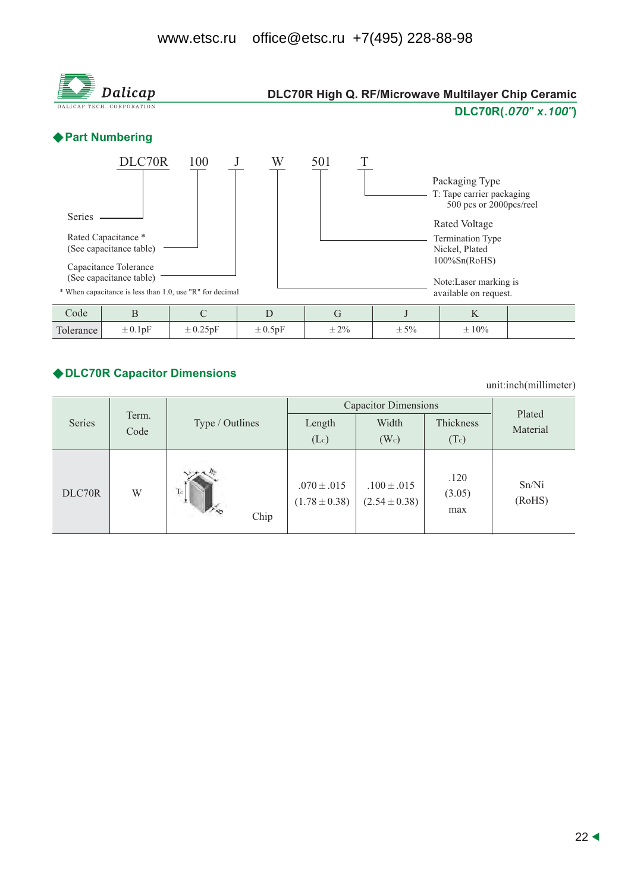#### office@etsc.ru +7(495) 228-88-98 www.etsc.ru



#### ◆ DLC70R Capacitor Dimensions

unit:inch(millimeter)

|        |       |                    | <b>Capacitor Dimensions</b>          | Plated                               |                       |                 |
|--------|-------|--------------------|--------------------------------------|--------------------------------------|-----------------------|-----------------|
| Series | Term. | Type / Outlines    | Length                               | Width                                | Thickness             | Material        |
|        | Code  |                    | (Lc)                                 | (W <sub>c</sub> )                    | (Tc)                  |                 |
| DLC70R | W     | Tc<br>- 2.<br>Chip | $.070 \pm .015$<br>$(1.78 \pm 0.38)$ | $.100 \pm .015$<br>$(2.54 \pm 0.38)$ | .120<br>(3.05)<br>max | Sn/Ni<br>(RoHS) |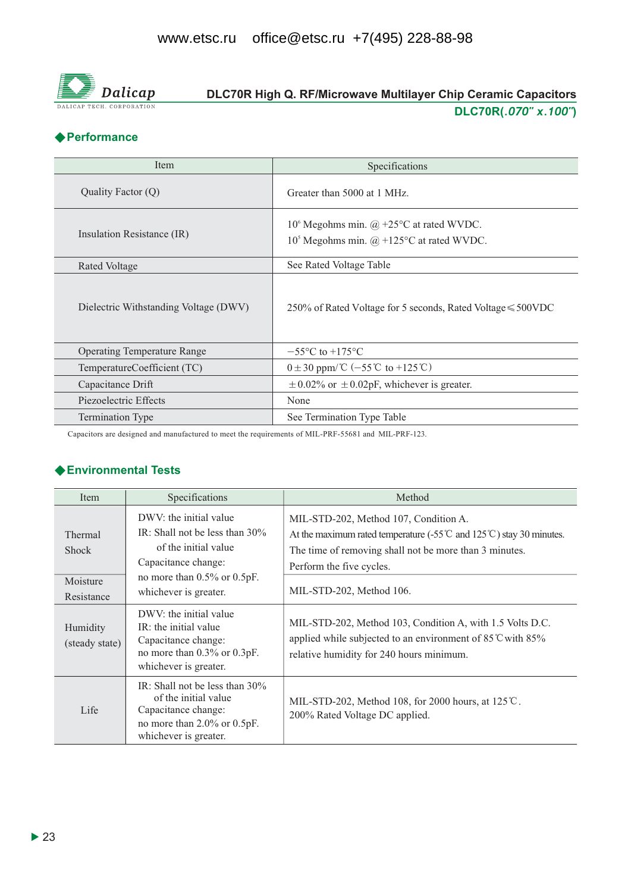

# DLC70R High Q. RF/Microwave Multilayer Chip Ceramic Capacitors DLC70R(.070" x.100")

## **◆ Performance**

| Item                                  | Specifications                                                                                      |
|---------------------------------------|-----------------------------------------------------------------------------------------------------|
| Quality Factor (Q)                    | Greater than 5000 at 1 MHz.                                                                         |
| Insulation Resistance (IR)            | 10° Megohms min. $\omega$ +25°C at rated WVDC.<br>$105$ Megohms min. $\omega$ +125°C at rated WVDC. |
| Rated Voltage                         | See Rated Voltage Table                                                                             |
| Dielectric Withstanding Voltage (DWV) | 250% of Rated Voltage for 5 seconds, Rated Voltage ≤ 500VDC                                         |
| <b>Operating Temperature Range</b>    | $-55^{\circ}$ C to $+175^{\circ}$ C                                                                 |
| TemperatureCoefficient (TC)           | $0 \pm 30$ ppm/°C (-55°C to +125°C)                                                                 |
| Capacitance Drift                     | $\pm$ 0.02% or $\pm$ 0.02pF, whichever is greater.                                                  |
| Piezoelectric Effects                 | None                                                                                                |
| <b>Termination Type</b>               | See Termination Type Table                                                                          |

Capacitors are designed and manufactured to meet the requirements of MIL-PRF-55681 and MIL-PRF-123.

## ◆ Environmental Tests

| Item                                              | Specifications                                                                                                                                                           | Method                                                                                                                                                                                                                                          |
|---------------------------------------------------|--------------------------------------------------------------------------------------------------------------------------------------------------------------------------|-------------------------------------------------------------------------------------------------------------------------------------------------------------------------------------------------------------------------------------------------|
| Thermal<br><b>Shock</b><br>Moisture<br>Resistance | DWV: the initial value<br>IR: Shall not be less than $30\%$<br>of the initial value<br>Capacitance change:<br>no more than $0.5\%$ or $0.5pF$ .<br>whichever is greater. | MIL-STD-202, Method 107, Condition A.<br>At the maximum rated temperature (-55 $\degree$ and 125 $\degree$ ) stay 30 minutes.<br>The time of removing shall not be more than 3 minutes.<br>Perform the five cycles.<br>MIL-STD-202, Method 106. |
| Humidity<br>(steady state)                        | DWV: the initial value<br>IR: the initial value<br>Capacitance change:<br>no more than 0.3% or 0.3pF.<br>whichever is greater.                                           | MIL-STD-202, Method 103, Condition A, with 1.5 Volts D.C.<br>applied while subjected to an environment of $85^{\circ}$ C with $85\%$<br>relative humidity for 240 hours minimum.                                                                |
| Life                                              | IR: Shall not be less than $30\%$<br>of the initial value<br>Capacitance change:<br>no more than $2.0\%$ or $0.5pF$ .<br>whichever is greater.                           | MIL-STD-202, Method 108, for 2000 hours, at 125℃.<br>200% Rated Voltage DC applied.                                                                                                                                                             |